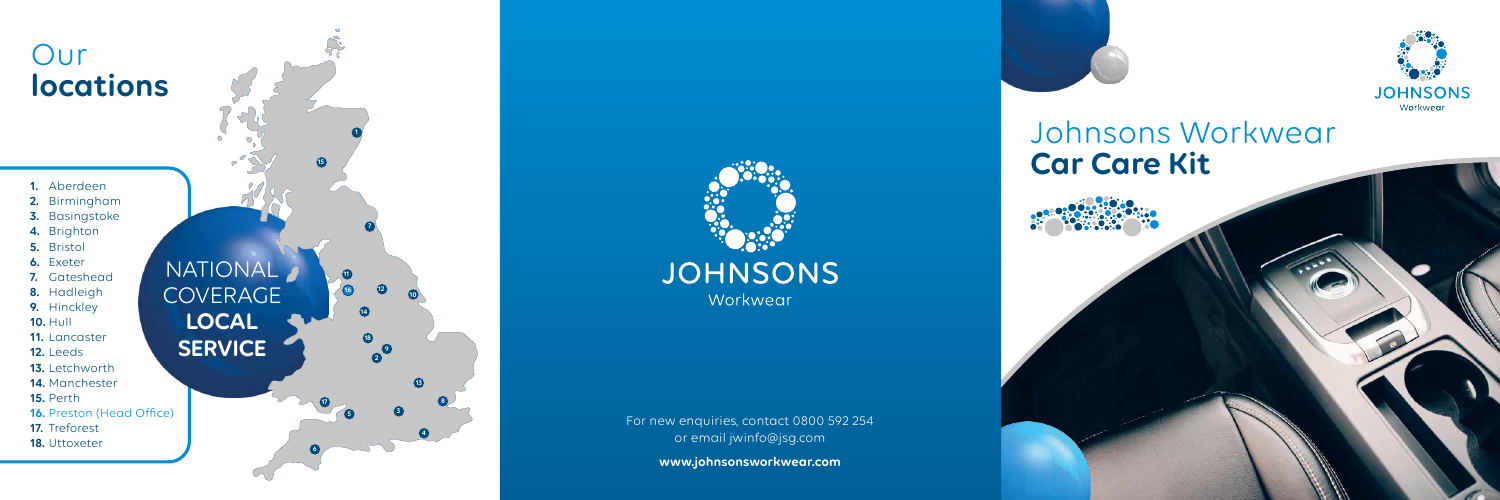# Johnsons Workwear **Car Care Kit**

For new enquiries, contact 0800 592 254 or email jwinfo@jsg.com

**www.johnsonsworkwear.com**





- **1.** Aberdeen
- **2.** Birmingham
- **3.** Basingstoke
- **4.** Brighton
- **5.** Bristol
- **6.** Exeter
- **7.** Gateshead
- **8.** Hadleigh
- **9.** Hinckley
- **10.** Hull
- **11.** Lancaster
- **12.** Leeds
- **13.** Letchworth
- **14.** Manchester
- **15.** Perth
- **16.** Preston (Head Office)
- **17.** Treforest
- **18.** Uttoxeter

# Our **locations**